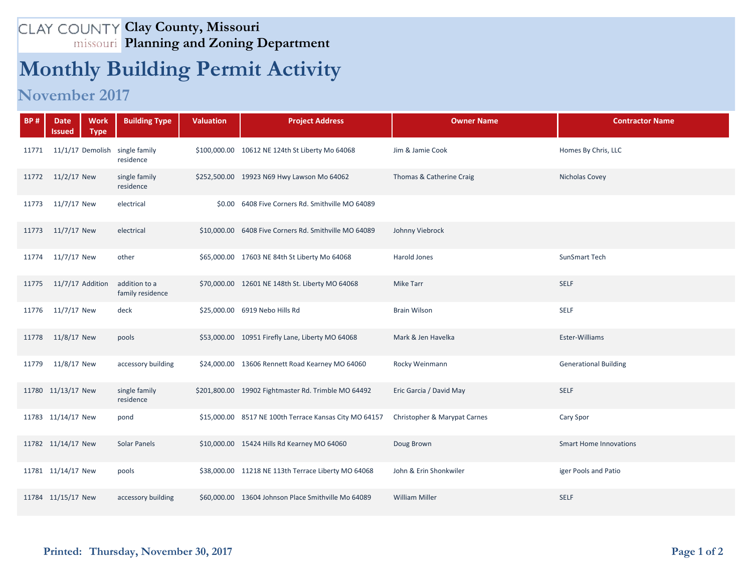## **Clay County, Missouri Planning and Zoning Department**

## **Monthly Building Permit Activity**

## **November 2017**

| <b>BP#</b> | <b>Date</b><br><b>Work</b><br><b>Type</b><br>Issued | <b>Building Type</b>              | <b>Valuation</b> | <b>Project Address</b>                                 | <b>Owner Name</b>            | <b>Contractor Name</b>        |
|------------|-----------------------------------------------------|-----------------------------------|------------------|--------------------------------------------------------|------------------------------|-------------------------------|
| 11771      | 11/1/17 Demolish                                    | single family<br>residence        |                  | \$100,000.00 10612 NE 124th St Liberty Mo 64068        | Jim & Jamie Cook             | Homes By Chris, LLC           |
| 11772      | 11/2/17 New                                         | single family<br>residence        |                  | \$252,500.00 19923 N69 Hwy Lawson Mo 64062             | Thomas & Catherine Craig     | Nicholas Covey                |
| 11773      | 11/7/17 New                                         | electrical                        |                  | \$0.00 6408 Five Corners Rd. Smithville MO 64089       |                              |                               |
| 11773      | 11/7/17 New                                         | electrical                        |                  | \$10,000.00 6408 Five Corners Rd. Smithville MO 64089  | Johnny Viebrock              |                               |
| 11774      | 11/7/17 New                                         | other                             |                  | \$65,000.00 17603 NE 84th St Liberty Mo 64068          | Harold Jones                 | SunSmart Tech                 |
| 11775      | 11/7/17 Addition                                    | addition to a<br>family residence |                  | \$70,000.00 12601 NE 148th St. Liberty MO 64068        | <b>Mike Tarr</b>             | <b>SELF</b>                   |
| 11776      | 11/7/17 New                                         | deck                              |                  | \$25,000.00 6919 Nebo Hills Rd                         | <b>Brain Wilson</b>          | <b>SELF</b>                   |
| 11778      | 11/8/17 New                                         | pools                             |                  | \$53,000.00 10951 Firefly Lane, Liberty MO 64068       | Mark & Jen Havelka           | Ester-Williams                |
| 11779      | 11/8/17 New                                         | accessory building                |                  | \$24,000.00 13606 Rennett Road Kearney MO 64060        | Rocky Weinmann               | <b>Generational Building</b>  |
|            | 11780 11/13/17 New                                  | single family<br>residence        |                  | \$201,800.00 19902 Fightmaster Rd. Trimble MO 64492    | Eric Garcia / David May      | <b>SELF</b>                   |
|            | 11783 11/14/17 New                                  | pond                              |                  | \$15,000.00 8517 NE 100th Terrace Kansas City MO 64157 | Christopher & Marypat Carnes | Cary Spor                     |
|            | 11782 11/14/17 New                                  | <b>Solar Panels</b>               |                  | \$10,000.00 15424 Hills Rd Kearney MO 64060            | Doug Brown                   | <b>Smart Home Innovations</b> |
|            | 11781 11/14/17 New                                  | pools                             |                  | \$38,000.00 11218 NE 113th Terrace Liberty MO 64068    | John & Erin Shonkwiler       | iger Pools and Patio          |
|            | 11784 11/15/17 New                                  | accessory building                |                  | \$60,000.00 13604 Johnson Place Smithville Mo 64089    | <b>William Miller</b>        | <b>SELF</b>                   |